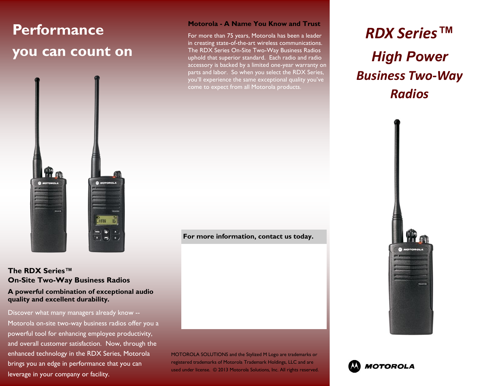# **Performance you can count on**



**The RDX Series™ On-Site Two-Way Business Radios A powerful combination of exceptional audio quality and excellent durability.**

Discover what many managers already know -- Motorola on-site two-way business radios offer you a powerful tool for enhancing employee productivity, and overall customer satisfaction. Now, through the enhanced technology in the RDX Series, Motorola brings you an edge in performance that you can leverage in your company or facility.

#### **Motorola - A Name You Know and Trust**

For more than 75 years, Motorola has been a leader in creating state-of-the-art wireless communications. The RDX Series On-Site Two-Way Business Radios uphold that superior standard. Each radio and radio accessory is backed by a limited one-year warranty on parts and labor. So when you select the RDX Series, you'll experience the same exceptional quality you've come to expect from all Motorola products.

**For more information, contact us today.**

MOTOROLA SOLUTIONS and the Stylized M Logo are trademarks or registered trademarks of Motorola Trademark Holdings, LLC and are used under license. © 2013 Motorola Solutions, Inc. All rights reserved.

# *RDX Series™ High Power Business Two-Way Radios*